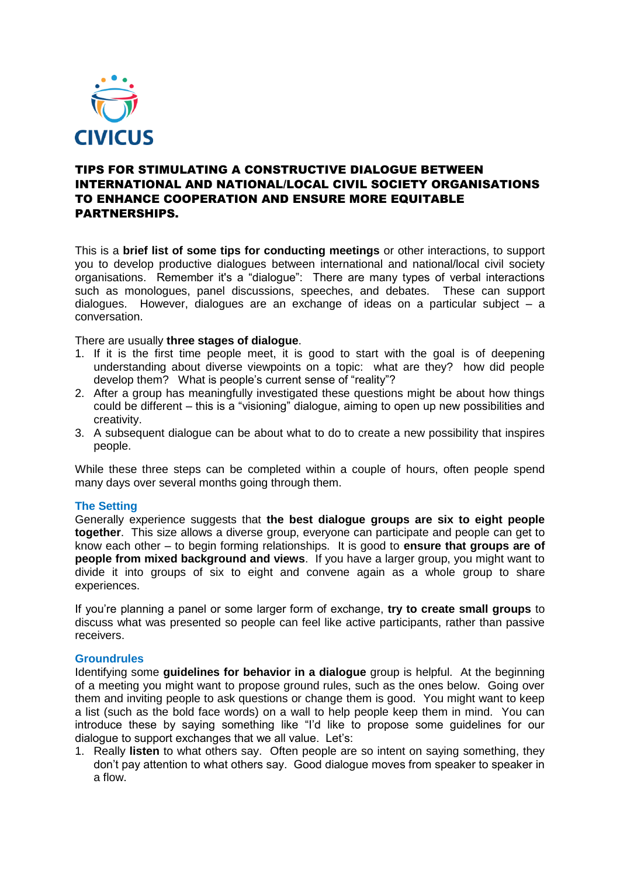

# TIPS FOR STIMULATING A CONSTRUCTIVE DIALOGUE BETWEEN INTERNATIONAL AND NATIONAL/LOCAL CIVIL SOCIETY ORGANISATIONS TO ENHANCE COOPERATION AND ENSURE MORE EQUITABLE PARTNERSHIPS.

This is a **brief list of some tips for conducting meetings** or other interactions, to support you to develop productive dialogues between international and national/local civil society organisations. Remember it's a "dialogue": There are many types of verbal interactions such as monologues, panel discussions, speeches, and debates. These can support dialogues. However, dialogues are an exchange of ideas on a particular subject – a conversation.

There are usually **three stages of dialogue**.

- 1. If it is the first time people meet, it is good to start with the goal is of deepening understanding about diverse viewpoints on a topic: what are they? how did people develop them? What is people's current sense of "reality"?
- 2. After a group has meaningfully investigated these questions might be about how things could be different – this is a "visioning" dialogue, aiming to open up new possibilities and creativity.
- 3. A subsequent dialogue can be about what to do to create a new possibility that inspires people.

While these three steps can be completed within a couple of hours, often people spend many days over several months going through them.

### **The Setting**

Generally experience suggests that **the best dialogue groups are six to eight people together**. This size allows a diverse group, everyone can participate and people can get to know each other – to begin forming relationships. It is good to **ensure that groups are of people from mixed background and views**. If you have a larger group, you might want to divide it into groups of six to eight and convene again as a whole group to share experiences.

If you're planning a panel or some larger form of exchange, **try to create small groups** to discuss what was presented so people can feel like active participants, rather than passive receivers.

## **Groundrules**

Identifying some **guidelines for behavior in a dialogue** group is helpful. At the beginning of a meeting you might want to propose ground rules, such as the ones below. Going over them and inviting people to ask questions or change them is good. You might want to keep a list (such as the bold face words) on a wall to help people keep them in mind. You can introduce these by saying something like "I'd like to propose some guidelines for our dialogue to support exchanges that we all value. Let's:

1. Really **listen** to what others say. Often people are so intent on saying something, they don't pay attention to what others say. Good dialogue moves from speaker to speaker in a flow.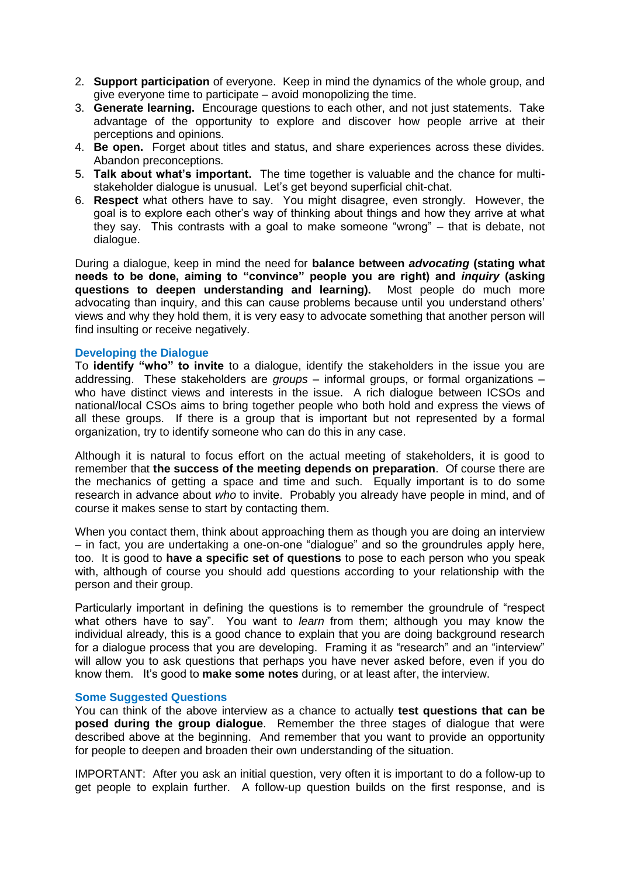- 2. **Support participation** of everyone. Keep in mind the dynamics of the whole group, and give everyone time to participate – avoid monopolizing the time.
- 3. **Generate learning.** Encourage questions to each other, and not just statements. Take advantage of the opportunity to explore and discover how people arrive at their perceptions and opinions.
- 4. **Be open.** Forget about titles and status, and share experiences across these divides. Abandon preconceptions.
- 5. **Talk about what's important.** The time together is valuable and the chance for multistakeholder dialogue is unusual. Let's get beyond superficial chit-chat.
- 6. **Respect** what others have to say. You might disagree, even strongly. However, the goal is to explore each other's way of thinking about things and how they arrive at what they say. This contrasts with a goal to make someone "wrong" – that is debate, not dialogue.

During a dialogue, keep in mind the need for **balance between** *advocating* **(stating what needs to be done, aiming to "convince" people you are right) and** *inquiry* **(asking questions to deepen understanding and learning).** Most people do much more advocating than inquiry, and this can cause problems because until you understand others' views and why they hold them, it is very easy to advocate something that another person will find insulting or receive negatively.

### **Developing the Dialogue**

To **identify "who" to invite** to a dialogue, identify the stakeholders in the issue you are addressing. These stakeholders are *groups* – informal groups, or formal organizations – who have distinct views and interests in the issue. A rich dialogue between ICSOs and national/local CSOs aims to bring together people who both hold and express the views of all these groups. If there is a group that is important but not represented by a formal organization, try to identify someone who can do this in any case.

Although it is natural to focus effort on the actual meeting of stakeholders, it is good to remember that **the success of the meeting depends on preparation**. Of course there are the mechanics of getting a space and time and such. Equally important is to do some research in advance about *who* to invite. Probably you already have people in mind, and of course it makes sense to start by contacting them.

When you contact them, think about approaching them as though you are doing an interview – in fact, you are undertaking a one-on-one "dialogue" and so the groundrules apply here, too. It is good to **have a specific set of questions** to pose to each person who you speak with, although of course you should add questions according to your relationship with the person and their group.

Particularly important in defining the questions is to remember the groundrule of "respect what others have to say". You want to *learn* from them; although you may know the individual already, this is a good chance to explain that you are doing background research for a dialogue process that you are developing. Framing it as "research" and an "interview" will allow you to ask questions that perhaps you have never asked before, even if you do know them. It's good to **make some notes** during, or at least after, the interview.

### **Some Suggested Questions**

You can think of the above interview as a chance to actually **test questions that can be posed during the group dialogue**. Remember the three stages of dialogue that were described above at the beginning. And remember that you want to provide an opportunity for people to deepen and broaden their own understanding of the situation.

IMPORTANT: After you ask an initial question, very often it is important to do a follow-up to get people to explain further. A follow-up question builds on the first response, and is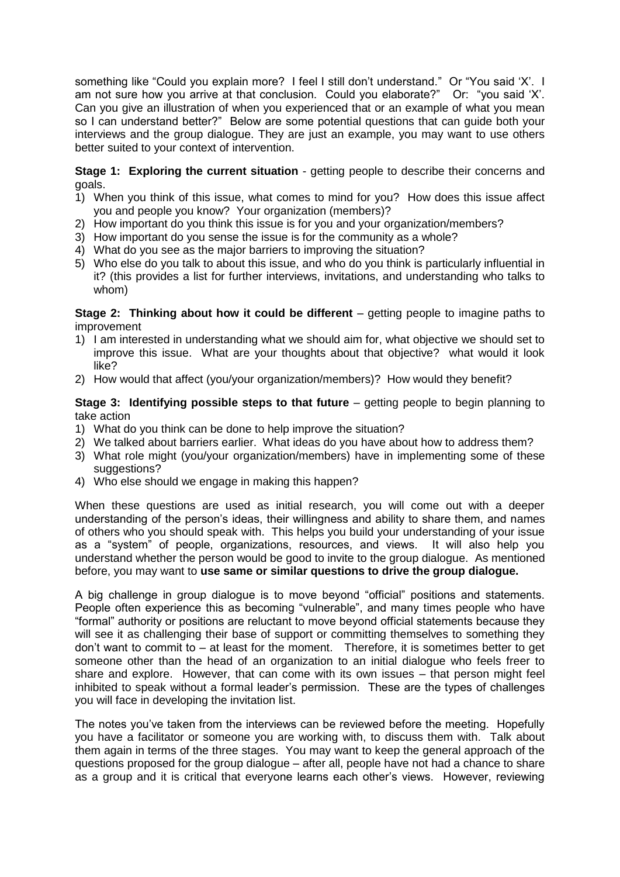something like "Could you explain more? I feel I still don't understand." Or "You said 'X'. I am not sure how you arrive at that conclusion. Could you elaborate?" Or: "you said 'X'. Can you give an illustration of when you experienced that or an example of what you mean so I can understand better?" Below are some potential questions that can guide both your interviews and the group dialogue. They are just an example, you may want to use others better suited to your context of intervention.

**Stage 1: Exploring the current situation** - getting people to describe their concerns and goals.

- 1) When you think of this issue, what comes to mind for you? How does this issue affect you and people you know? Your organization (members)?
- 2) How important do you think this issue is for you and your organization/members?
- 3) How important do you sense the issue is for the community as a whole?
- 4) What do you see as the major barriers to improving the situation?
- 5) Who else do you talk to about this issue, and who do you think is particularly influential in it? (this provides a list for further interviews, invitations, and understanding who talks to whom)

**Stage 2: Thinking about how it could be different** – getting people to imagine paths to improvement

- 1) I am interested in understanding what we should aim for, what objective we should set to improve this issue. What are your thoughts about that objective? what would it look like?
- 2) How would that affect (you/your organization/members)? How would they benefit?

**Stage 3: Identifying possible steps to that future** – getting people to begin planning to take action

- 1) What do you think can be done to help improve the situation?
- 2) We talked about barriers earlier. What ideas do you have about how to address them?
- 3) What role might (you/your organization/members) have in implementing some of these suggestions?
- 4) Who else should we engage in making this happen?

When these questions are used as initial research, you will come out with a deeper understanding of the person's ideas, their willingness and ability to share them, and names of others who you should speak with. This helps you build your understanding of your issue as a "system" of people, organizations, resources, and views. It will also help you understand whether the person would be good to invite to the group dialogue. As mentioned before, you may want to **use same or similar questions to drive the group dialogue.** 

A big challenge in group dialogue is to move beyond "official" positions and statements. People often experience this as becoming "vulnerable", and many times people who have "formal" authority or positions are reluctant to move beyond official statements because they will see it as challenging their base of support or committing themselves to something they don't want to commit to – at least for the moment. Therefore, it is sometimes better to get someone other than the head of an organization to an initial dialogue who feels freer to share and explore. However, that can come with its own issues – that person might feel inhibited to speak without a formal leader's permission. These are the types of challenges you will face in developing the invitation list.

The notes you've taken from the interviews can be reviewed before the meeting. Hopefully you have a facilitator or someone you are working with, to discuss them with. Talk about them again in terms of the three stages. You may want to keep the general approach of the questions proposed for the group dialogue – after all, people have not had a chance to share as a group and it is critical that everyone learns each other's views. However, reviewing